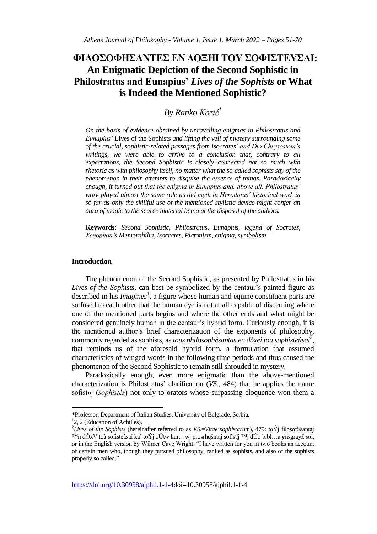# **ΦΙΛΟΣΟΦΗΣΑΝΤΕΣ ΕΝ ΔΟΞΗΙ ΤΟΥ ΣΟΦΙΣΤΕΥΣΑΙ: An Enigmatic Depiction of the Second Sophistic in Philostratus and Eunapius'** *Lives of the Sophists* **or What is Indeed the Mentioned Sophistic?**

## *By Ranko Kozić*\*

*On the basis of evidence obtained by unravelling enigmas in Philostratus and Eunapius'* Lives of the Sophists *and lifting the veil of mystery surrounding some of the crucial, sophistic-related passages from Isocrates' and Dio Chrysostom's writings, we were able to arrive to a conclusion that, contrary to all expectations, the Second Sophistic is closely connected not so much with rhetoric as with philosophy itself, no matter what the so-called sophists say of the phenomenon in their attempts to disguise the essence of things. Paradoxically enough, it turned out that the enigma in Eunapius and, above all, Philostratus' work played almost the same role as did myth in Herodotus' historical work in so far as only the skillful use of the mentioned stylistic device might confer an aura of magic to the scarce material being at the disposal of the authors.*

**Keywords:** *Second Sophistic, Philostratus, Eunapius, legend of Socrates, Xenophon's Memorabilia, Isocrates, Platonism, enigma, symbolism* 

## **Introduction**

The phenomenon of the Second Sophistic, as presented by Philostratus in his *Lives of the Sophists*, can best be symbolized by the centaur's painted figure as described in his *Imagines*<sup>1</sup>, a figure whose human and equine constituent parts are so fused to each other that the human eye is not at all capable of discerning where one of the mentioned parts begins and where the other ends and what might be considered genuinely human in the centaur's hybrid form. Curiously enough, it is the mentioned author's brief characterization of the exponents of philosophy, commonly regarded as sophists, as *tous philosophésantas en dóxei tou sophisteûsai*<sup>2</sup> , that reminds us of the aforesaid hybrid form, a formulation that assumed characteristics of winged words in the following time periods and thus caused the phenomenon of the Second Sophistic to remain still shrouded in mystery.

Paradoxically enough, even more enigmatic than the above-mentioned characterization is Philostratus' clarification (*VS.,* 484) that he applies the name sofist»j (*sophistés*) not only to orators whose surpassing eloquence won them a

<sup>\*</sup>Professor, Department of Italian Studies, University of Belgrade, Serbia.

<sup>&</sup>lt;sup>1</sup>2, 2 (Education of Achilles).

<sup>2</sup> *Lives of the Sophists* (hereinafter referred to as *VS*.=*Vitae sophistarum*), 479: toÝj filosof»santaj ™n dÒxV toà sofisteàsai kaˆ toÝj oÛtw kur…wj prosrhqšntaj sofist¦j ™j dÚo bibl…a ¢nšgray£ soi, or in the English version by Wilmer Cave Wright: "I have written for you in two books an account of certain men who, though they pursued philosophy, ranked as sophists, and also of the sophists properly so called."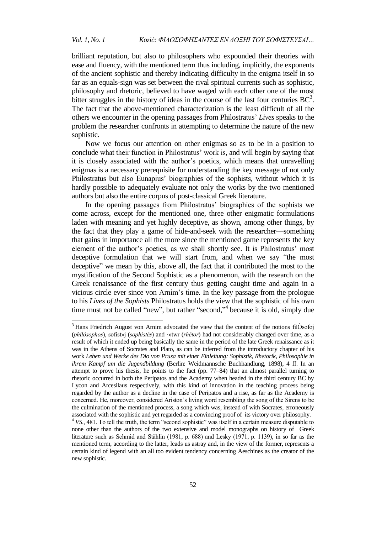brilliant reputation, but also to philosophers who expounded their theories with ease and fluency, with the mentioned term thus including, implicitly, the exponents of the ancient sophistic and thereby indicating difficulty in the enigma itself in so far as an equals-sign was set between the rival spiritual currents such as sophistic, philosophy and rhetoric, believed to have waged with each other one of the most bitter struggles in the history of ideas in the course of the last four centuries  $BC<sup>3</sup>$ . The fact that the above-mentioned characterization is the least difficult of all the others we encounter in the opening passages from Philostratus' *Lives* speaks to the problem the researcher confronts in attempting to determine the nature of the new sophistic.

Now we focus our attention on other enigmas so as to be in a position to conclude what their function in Philostratus' work is, and will begin by saying that it is closely associated with the author's poetics, which means that unravelling enigmas is a necessary prerequisite for understanding the key message of not only Philostratus but also Eunapius' biographies of the sophists, without which it is hardly possible to adequately evaluate not only the works by the two mentioned authors but also the entire corpus of post-classical Greek literature.

In the opening passages from Philostratus' biographies of the sophists we come across, except for the mentioned one, three other enigmatic formulations laden with meaning and yet highly deceptive, as shown, among other things, by the fact that they play a game of hide-and-seek with the researcher––something that gains in importance all the more since the mentioned game represents the key element of the author's poetics, as we shall shortly see. It is Philostratus' most deceptive formulation that we will start from, and when we say "the most deceptive" we mean by this, above all, the fact that it contributed the most to the mystification of the Second Sophistic as a phenomenon, with the research on the Greek renaissance of the first century thus getting caught time and again in a vicious circle ever since von Arnim's time. In the key passage from the prologue to his *Lives of the Sophists* Philostratus holds the view that the sophistic of his own time must not be called "new", but rather "second,"<sup>4</sup> because it is old, simply due

<sup>&</sup>lt;sup>3</sup> Hans Friedrich August von Arnim advocated the view that the content of the notions filÒsofoj (*philósophos*)*,* sofist»j (*sophistés*) and ·»twr (*rhétor*) had not considerably changed over time, as a result of which it ended up being basically the same in the period of the late Greek renaissance as it was in the Athens of Socrates and Plato, as can be inferred from the introductory chapter of his work *Leben und Werke des Dio von Prusa mit einer Einleitung: Sophistik, Rhetorik, Philosophie in ihrem Kampf um die Jugendbildung* (Berlin: Weidmannsche Buchhandlung, 1898), 4 ff. In an attempt to prove his thesis, he points to the fact (pp. 77–84) that an almost parallel turning to rhetoric occurred in both the Peripatos and the Academy when headed in the third century BC by Lycon and Arcesilaus respectively, with this kind of innovation in the teaching process being regarded by the author as a decline in the case of Peripatos and a rise, as far as the Academy is concerned. He, moreover, considered Ariston's living word resembling the song of the Sirens to be the culmination of the mentioned process, a song which was, instead of with Socrates, erroneously associated with the sophistic and yet regarded as a convincing proof of its victory over philosophy.

<sup>&</sup>lt;sup>4</sup> VS., 481. To tell the truth, the term "second sophistic" was itself in a certain measure disputable to none other than the authors of the two extensive and model monographs on history of Greek literature such as Schmid and Stählin (1981, p. 688) and Lesky (1971, p. 1139), in so far as the mentioned term, according to the latter, leads us astray and, in the view of the former, represents a certain kind of legend with an all too evident tendency concerning Aeschines as the creator of the new sophistic.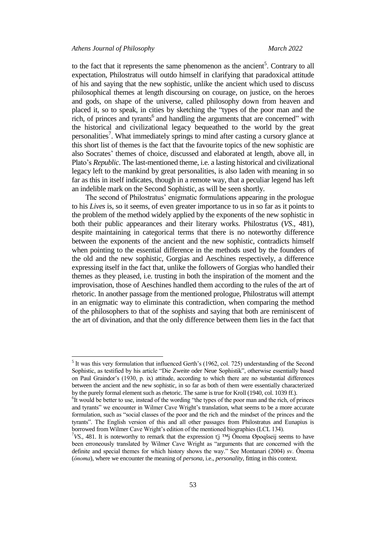to the fact that it represents the same phenomenon as the ancient<sup>5</sup>. Contrary to all expectation, Philostratus will outdo himself in clarifying that paradoxical attitude of his and saying that the new sophistic, unlike the ancient which used to discuss philosophical themes at length discoursing on courage, on justice, on the heroes and gods, on shape of the universe, called philosophy down from heaven and placed it, so to speak, in cities by sketching the "types of the poor man and the rich, of princes and tyrants<sup>6</sup> and handling the arguments that are concerned" with the historical and civilizational legacy bequeathed to the world by the great personalities<sup>7</sup>. What immediately springs to mind after casting a cursory glance at this short list of themes is the fact that the favourite topics of the new sophistic are also Socrates' themes of choice, discussed and elaborated at length, above all, in Plato's *Republic*. The last-mentioned theme, i.e. a lasting historical and civilizational legacy left to the mankind by great personalities, is also laden with meaning in so far as this in itself indicates, though in a remote way, that a peculiar legend has left an indelible mark on the Second Sophistic, as will be seen shortly.

The second of Philostratus' enigmatic formulations appearing in the prologue to his *Lives* is, so it seems, of even greater importance to us in so far as it points to the problem of the method widely applied by the exponents of the new sophistic in both their public appearances and their literary works. Philostratus (*VS*., 481), despite maintaining in categorical terms that there is no noteworthy difference between the exponents of the ancient and the new sophistic, contradicts himself when pointing to the essential difference in the methods used by the founders of the old and the new sophistic, Gorgias and Aeschines respectively, a difference expressing itself in the fact that, unlike the followers of Gorgias who handled their themes as they pleased, i.e. trusting in both the inspiration of the moment and the improvisation, those of Aeschines handled them according to the rules of the art of rhetoric. In another passage from the mentioned prologue, Philostratus will attempt in an enigmatic way to eliminate this contradiction, when comparing the method of the philosophers to that of the sophists and saying that both are reminiscent of the art of divination, and that the only difference between them lies in the fact that

<sup>&</sup>lt;sup>5</sup> It was this very formulation that influenced Gerth's (1962, col. 725) understanding of the Second Sophistic, as testified by his article "Die Zweite oder Neue Sophistik", otherwise essentially based on Paul Graindor's (1930, p. ix) attitude, according to which there are no substantial differences between the ancient and the new sophistic, in so far as both of them were essentially characterized by the purely formal element such as rhetoric. The same is true for Kroll (1940, col. 1039 ff.).

<sup>&</sup>lt;sup>6</sup>It would be better to use, instead of the wording "the types of the poor man and the rich, of princes and tyrants" we encounter in Wilmer Cave Wright's translation, what seems to be a more accurate formulation, such as "social classes of the poor and the rich and the mindset of the princes and the tyrants". The English version of this and all other passages from Philostratus and Eunapius is borrowed from Wilmer Cave Wright's edition of the mentioned biographies (LCL 134).

<sup>&</sup>lt;sup>7</sup>VS., 481. It is noteworthy to remark that the expression t¦j ™j Ônoma Øpoqšseij seems to have been erroneously translated by Wilmer Cave Wright as "arguments that are concerned with the definite and special themes for which history shows the way." See Montanari (2004) sv. Ônoma (*ónoma*), where we encounter the meaning of *persona,* i.e., *personality*, fitting in this context.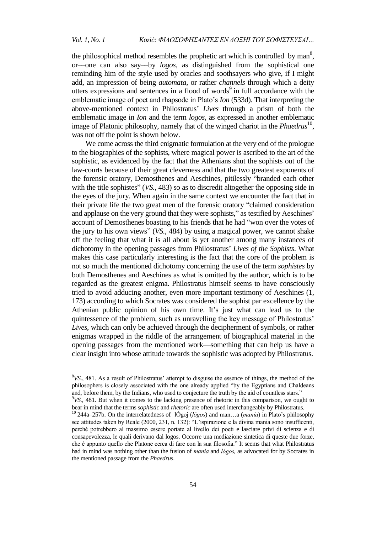the philosophical method resembles the prophetic art which is controlled by man<sup>8</sup>, or––one can also say––by *logos*, as distinguished from the sophistical one reminding him of the style used by oracles and soothsayers who give, if I might add, an impression of being *automata*, or rather *channels* through which a deity utters expressions and sentences in a flood of words $9$  in full accordance with the emblematic image of poet and rhapsode in Plato's *Ion* (533d). That interpreting the above-mentioned context in Philostratus' *Lives* through a prism of both the emblematic image in *Ion* and the term *logos*, as expressed in another emblematic image of Platonic philosophy, namely that of the winged chariot in the *Phaedrus*<sup>10</sup>, was not off the point is shown below.

We come across the third enigmatic formulation at the very end of the prologue to the biographies of the sophists, where magical power is ascribed to the art of the sophistic, as evidenced by the fact that the Athenians shut the sophists out of the law-courts because of their great cleverness and that the two greatest exponents of the forensic oratory, Demosthenes and Aeschines, pitilessly "branded each other with the title sophistes" (*VS.,* 483) so as to discredit altogether the opposing side in the eyes of the jury. When again in the same context we encounter the fact that in their private life the two great men of the forensic oratory "claimed consideration and applause on the very ground that they were sophists," as testified by Aeschines' account of Demosthenes boasting to his friends that he had "won over the votes of the jury to his own views" (*VS.,* 484) by using a magical power, we cannot shake off the feeling that what it is all about is yet another among many instances of dichotomy in the opening passages from Philostratus' *Lives of the Sophists*. What makes this case particularly interesting is the fact that the core of the problem is not so much the mentioned dichotomy concerning the use of the term *sophistes* by both Demosthenes and Aeschines as what is omitted by the author, which is to be regarded as the greatest enigma. Philostratus himself seems to have consciously tried to avoid adducing another, even more important testimony of Aeschines (1, 173) according to which Socrates was considered the sophist par excellence by the Athenian public opinion of his own time. It's just what can lead us to the quintessence of the problem, such as unravelling the key message of Philostratus' *Lives*, which can only be achieved through the decipherment of symbols, or rather enigmas wrapped in the riddle of the arrangement of biographical material in the opening passages from the mentioned work––something that can help us have a clear insight into whose attitude towards the sophistic was adopted by Philostratus.

<sup>8</sup>*VS.*, 481. As a result of Philostratus' attempt to disguise the essence of things, the method of the philosophers is closely associated with the one already applied "by the Egyptians and Chaldeans and, before them, by the Indians, who used to conjecture the truth by the aid of countless stars." <sup>9</sup>*VS.*, 481. But when it comes to the lacking presence of rhetoric in this comparison, we ought to

bear in mind that the terms *sophistic* and *rhetoric* are often used interchangeably by Philostratus.

<sup>10</sup> 244a–257b. On the interrelatedness of lÒgoj (*lógos*) and man…a (*manía*) in Plato's philosophy see attitudes taken by Reale (2000, 231, n. 132): "L'ispirazione e la divina mania sono insufficenti, perché potrebbero al massimo essere portate al livello dei poeti e lasciare privi di scienza e di consapevolezza, le quali derivano dal logos. Occorre una mediazione sintetica di queste due forze, che è appunto quello che Platone cerca di fare con la sua filosofia." It seems that what Philostratus had in mind was nothing other than the fusion of *manía* and *lógos,* as advocated for by Socrates in the mentioned passage from the *Phaedrus*.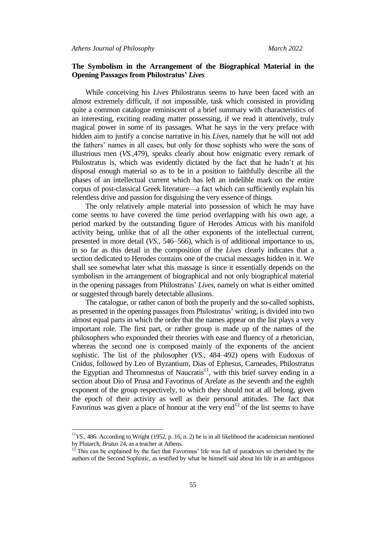## **The Symbolism in the Arrangement of the Biographical Material in the Opening Passages from Philostratus'** *Lives*

While conceiving his *Lives* Philostratus seems to have been faced with an almost extremely difficult, if not impossible, task which consisted in providing quite a common catalogue reminiscent of a brief summary with characteristics of an interesting, exciting reading matter possessing, if we read it attentively, truly magical power in some of its passages. What he says in the very preface with hidden aim to justify a concise narrative in his *Lives*, namely that he will not add the fathers' names in all cases, but only for those sophists who were the sons of illustrious men (*VS.,*479), speaks clearly about how enigmatic every remark of Philostratus is, which was evidently dictated by the fact that he hadn't at his disposal enough material so as to be in a position to faithfully describe all the phases of an intellectual current which has left an indelible mark on the entire corpus of post-classical Greek literature––a fact which can sufficiently explain his relentless drive and passion for disguising the very essence of things.

The only relatively ample material into possession of which he may have come seems to have covered the time period overlapping with his own age, a period marked by the outstanding figure of Herodes Atticus with his manifold activity being, unlike that of all the other exponents of the intellectual current, presented in more detail (*VS*., 546–566), which is of additional importance to us, in so far as this detail in the composition of the *Lives* clearly indicates that a section dedicated to Herodes contains one of the crucial messages hidden in it. We shall see somewhat later what this massage is since it essentially depends on the symbolism in the arrangement of biographical and not only biographical material in the opening passages from Philostratus' *Lives*, namely on what is either omitted or suggested through barely detectable allusions.

The catalogue, or rather canon of both the properly and the so-called sophists, as presented in the opening passages from Philostratus' writing, is divided into two almost equal parts in which the order that the names appear on the list plays a very important role. The first part, or rather group is made up of the names of the philosophers who expounded their theories with ease and fluency of a rhetorician, whereas the second one is composed mainly of the exponents of the ancient sophistic. The list of the philosopher (*VS.,* 484–492) opens with Eudoxus of Cnidus, followed by Leo of Byzantium, Dias of Ephesus, Carneades, Philostratus the Egyptian and Theomnestus of Naucratis $11$ , with this brief survey ending in a section about Dio of Prusa and Favorinus of Arelate as the seventh and the eighth exponent of the group respectively, to which they should not at all belong, given the epoch of their activity as well as their personal attitudes. The fact that Favorinus was given a place of honour at the very end<sup>12</sup> of the list seems to have

 $1<sup>11</sup>$ *VS.*, 486. According to Wright (1952, p. 16, n. 2) he is in all likelihood the academician mentioned by Plutarch, *Brutus* 24, as a teacher at Athens.

 $12$ <sup>12</sup> This can be explained by the fact that Favorinus' life was full of paradoxes so cherished by the authors of the Second Sophistic, as testified by what he himself said about his life in an ambiguous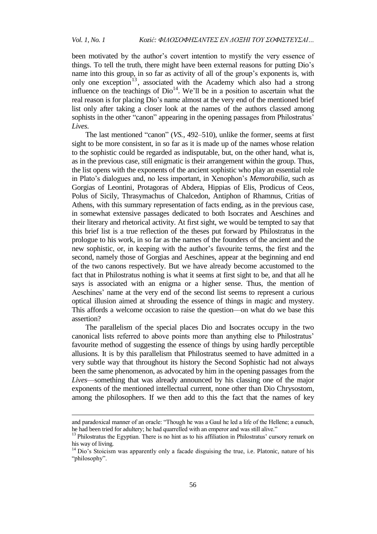been motivated by the author's covert intention to mystify the very essence of things. To tell the truth, there might have been external reasons for putting Dio's name into this group, in so far as activity of all of the group's exponents is, with only one exception<sup>13</sup>, associated with the Academy which also had a strong influence on the teachings of  $Di^1$ <sup>4</sup>. We'll be in a position to ascertain what the real reason is for placing Dio's name almost at the very end of the mentioned brief list only after taking a closer look at the names of the authors classed among sophists in the other "canon" appearing in the opening passages from Philostratus' *Lives*.

The last mentioned "canon" (*VS.,* 492–510), unlike the former, seems at first sight to be more consistent, in so far as it is made up of the names whose relation to the sophistic could be regarded as indisputable, but, on the other hand, what is, as in the previous case, still enigmatic is their arrangement within the group. Thus, the list opens with the exponents of the ancient sophistic who play an essential role in Plato's dialogues and, no less important, in Xenophon's *Memorabilia*, such as Gorgias of Leontini, Protagoras of Abdera, Hippias of Elis, Prodicus of Ceos, Polus of Sicily, Thrasymachus of Chalcedon, Antiphon of Rhamnus, Critias of Athens, with this summary representation of facts ending, as in the previous case, in somewhat extensive passages dedicated to both Isocrates and Aeschines and their literary and rhetorical activity. At first sight, we would be tempted to say that this brief list is a true reflection of the theses put forward by Philostratus in the prologue to his work, in so far as the names of the founders of the ancient and the new sophistic, or, in keeping with the author's favourite terms, the first and the second, namely those of Gorgias and Aeschines, appear at the beginning and end of the two canons respectively. But we have already become accustomed to the fact that in Philostratus nothing is what it seems at first sight to be, and that all he says is associated with an enigma or a higher sense. Thus, the mention of Aeschines' name at the very end of the second list seems to represent a curious optical illusion aimed at shrouding the essence of things in magic and mystery. This affords a welcome occasion to raise the question––on what do we base this assertion?

The parallelism of the special places Dio and Isocrates occupy in the two canonical lists referred to above points more than anything else to Philostratus' favourite method of suggesting the essence of things by using hardly perceptible allusions. It is by this parallelism that Philostratus seemed to have admitted in a very subtle way that throughout its history the Second Sophistic had not always been the same phenomenon, as advocated by him in the opening passages from the *Lives*––something that was already announced by his classing one of the major exponents of the mentioned intellectual current, none other than Dio Chrysostom, among the philosophers. If we then add to this the fact that the names of key

and paradoxical manner of an oracle: "Though he was a Gaul he led a life of the Hellene; a eunuch, he had been tried for adultery; he had quarrelled with an emperor and was still alive."

<sup>&</sup>lt;sup>13</sup> Philostratus the Egyptian. There is no hint as to his affiliation in Philostratus' cursory remark on his way of living.

<sup>&</sup>lt;sup>14</sup> Dio's Stoicism was apparently only a facade disguising the true, i.e. Platonic, nature of his "philosophy".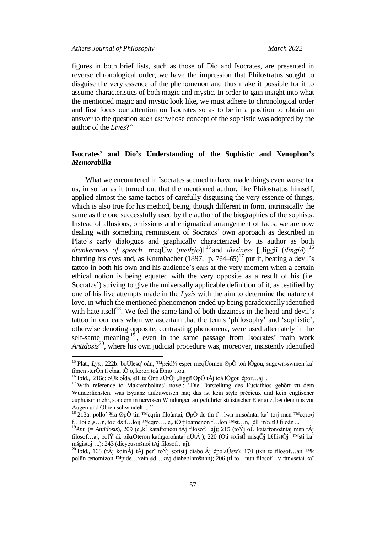figures in both brief lists, such as those of Dio and Isocrates, are presented in reverse chronological order, we have the impression that Philostratus sought to disguise the very essence of the phenomenon and thus make it possible for it to assume characteristics of both magic and mystic. In order to gain insight into what the mentioned magic and mystic look like, we must adhere to chronological order and first focus our attention on Isocrates so as to be in a position to obtain an answer to the question such as:"whose concept of the sophistic was adopted by the author of the *Lives*?"

## **Isocrates' and Dio's Understanding of the Sophistic and Xenophon's** *Memorabilia*

What we encountered in Isocrates seemed to have made things even worse for us, in so far as it turned out that the mentioned author, like Philostratus himself, applied almost the same tactics of carefully disguising the very essence of things, which is also true for his method, being, though different in form, intrinsically the same as the one successfully used by the author of the biographies of the sophists. Instead of allusions, omissions and enigmatical arrangement of facts, we are now dealing with something reminiscent of Socrates' own approach as described in Plato's early dialogues and graphically characterized by its author as both *drunkenness of speech* [meqÚw (*methýo*)]<sup>15</sup> and *dizziness* ["liggiî (*ilingiô*)]<sup>16</sup> blurring his eyes and, as Krumbacher  $(1897, p. 764–65)^{17}$  put it, beating a devil's tattoo in both his own and his audience's ears at the very moment when a certain ethical notion is being equated with the very opposite as a result of his (i.e. Socrates') striving to give the universally applicable definition of it, as testified by one of his five attempts made in the *Lysis* with the aim to determine the nature of love, in which the mentioned phenomenon ended up being paradoxically identified with hate itself<sup>18</sup>. We feel the same kind of both dizziness in the head and devil's tattoo in our ears when we ascertain that the terms 'philosophy' and 'sophistic', otherwise denoting opposite, contrasting phenomena, were used alternately in the self-same meaning  $19$ , even in the same passage from Isocrates' main work Antidosis<sup>20</sup>, where his own judicial procedure was, moreover, insistently identified

<sup>&</sup>lt;sup>15</sup> Plat., *Lys.*, 222b: boÚlesq' oân, ™peid¾ ésper meqÚomen ØpÕ toà lÒgou, sugcwr»swmen ka<sup>^</sup> fîmen ›terÒn ti eἶnai tÕ o, ke‹on toà Đmo...ou.

<sup>&</sup>lt;sup>16</sup> Ibid., 216c: oÙk oἶda, ¢ll¦ tù Ônti aÙtÕj "liggiî ØpÕ tÁj toà lÒgou ¢por...aj ...

<sup>&</sup>lt;sup>17</sup> With reference to Makrembolites' novel: "Die Darstellung des Eustathios gehört zu dem Wunderlichsten, was Byzanz aufzuweisen hat; das ist kein style précieux und kein englischer euphuism mehr, sondern in nervösen Windungen aufgeführter stilistischer Eiertanz, bei dem uns vor Augen und Ohren schwindelt ... "

<sup>&</sup>lt;sup>18</sup> 213a: pollo<sup>^</sup> ¥ra ØpÕ tîn ™cqrîn filoàntai, ØpÕ dè tîn f…lwn misoàntai ka^ to‹j mèn ™cqro‹j f…loi e, s…n, to‹j dὲ f…loij ™cqro…, e,, tÕ filoàmenon f…lon ™st…n, ¢ll¦ m¾ tÕ filoàn ...

<sup>&</sup>lt;sup>19</sup>Ant. (= Antidosis), 209 (e, kÍ katafrone n tÁj filosof...aj); 215 (toÝj oÙ katafronoàntaj mèn tÁj filosof…aj, polÝ dὲ pikrÒteron kathgoroàntaj aÙtÁj); 220 (Óti sofistÍ misqÕj k£llistÒj ™sti kaˆ mšgistoj ...); 243 (dieyeusmšnoi tÁj filosof…aj).

<sup>&</sup>lt;sup>20</sup> Ibid., 168 (tÁj koinÁj tÁj per^ toÝj sofist¦j diabolÁj ¢polaÚsw); 170 (t»n te filosof…an ™k pollîn œnomizon ™pide…xein ¢d…kwj diabeblhmšnhn); 206 (tÍ to…nun filosof…v fan»setai kaˆ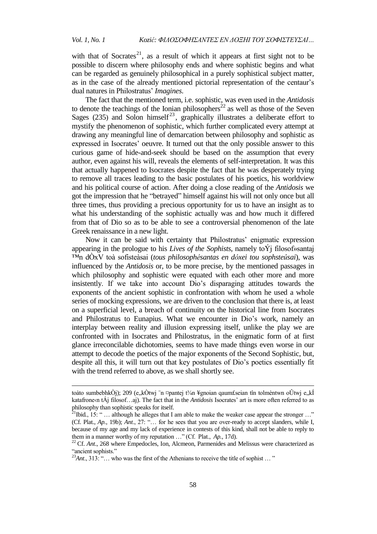with that of Socrates<sup>21</sup>, as a result of which it appears at first sight not to be possible to discern where philosophy ends and where sophistic begins and what can be regarded as genuinely philosophical in a purely sophistical subject matter, as in the case of the already mentioned pictorial representation of the centaur's dual natures in Philostratus' *Imagines*.

The fact that the mentioned term, i.e. sophistic, was even used in the *Antidosis* to denote the teachings of the Ionian philosophers<sup>22</sup> as well as those of the Seven Sages (235) and Solon himself<sup>23</sup>, graphically illustrates a deliberate effort to mystify the phenomenon of sophistic, which further complicated every attempt at drawing any meaningful line of demarcation between philosophy and sophistic as expressed in Isocrates' oeuvre. It turned out that the only possible answer to this curious game of hide-and-seek should be based on the assumption that every author, even against his will, reveals the elements of self-interpretation. It was this that actually happened to Isocrates despite the fact that he was desperately trying to remove all traces leading to the basic postulates of his poetics, his worldview and his political course of action. After doing a close reading of the *Antidosis* we got the impression that he "betrayed" himself against his will not only once but all three times, thus providing a precious opportunity for us to have an insight as to what his understanding of the sophistic actually was and how much it differed from that of Dio so as to be able to see a controversial phenomenon of the late Greek renaissance in a new light.

Now it can be said with certainty that Philostratus' enigmatic expression appearing in the prologue to his *Lives of the Sophists*, namely toÝj filosof»santaj ™n dÒxV toà sofisteàsai (*tous philosophésantas en dóxei tou sophsteûsai*), was influenced by the *Antidosis* or, to be more precise, by the mentioned passages in which philosophy and sophistic were equated with each other more and more insistently. If we take into account Dio's disparaging attitudes towards the exponents of the ancient sophistic in confrontation with whom he used a whole series of mocking expressions, we are driven to the conclusion that there is, at least on a superficial level, a breach of continuity on the historical line from Isocrates and Philostratus to Eunapius. What we encounter in Dio's work, namely an interplay between reality and illusion expressing itself, unlike the play we are confronted with in Isocrates and Philostratus, in the enigmatic form of at first glance irreconcilable dichotomies, seems to have made things even worse in our attempt to decode the poetics of the major exponents of the Second Sophistic, but, despite all this, it will turn out that key postulates of Dio's poetics essentially fit with the trend referred to above, as we shall shortly see.

toàto sumbebhkÒj); 209 (e, kÒtwj "n ¤pantej t¾n ¥gnoian qaum£seian tîn tolmèntwn oÙtwj e, kÍ katafroneon tÁj filosof…aj). The fact that in the *Antidosis* Isocrates' art is more often referred to as philosophy than sophistic speaks for itself.

 $2^{1}$ Ibid., 15: " ... although he alleges that I am able to make the weaker case appear the stronger ..." (Cf. Plat., *Ap.*, 19b); *Ant*., 27: "… for he sees that you are over-ready to accept slanders, while I, because of my age and my lack of experience in contests of this kind, shall not be able to reply to them in a manner worthy of my reputation …" (Cf. Plat., *Ap.*, 17d).

<sup>&</sup>lt;sup>22</sup> Cf. *Ant.*, 268 where Empedocles, Ion, Alcmeon, Parmenides and Melissus were characterized as "ancient sophists."

<sup>&</sup>lt;sup>23</sup>*Ant*., 313: "... who was the first of the Athenians to receive the title of sophist ... "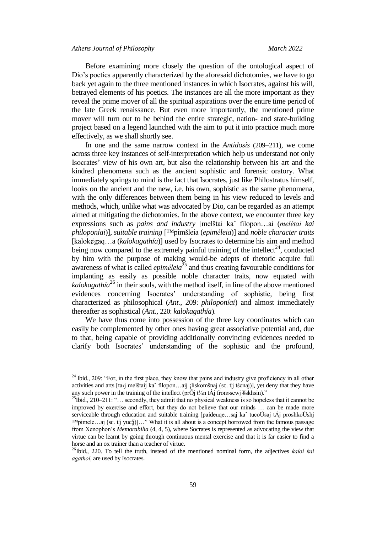Before examining more closely the question of the ontological aspect of Dio's poetics apparently characterized by the aforesaid dichotomies, we have to go back yet again to the three mentioned instances in which Isocrates, against his will, betrayed elements of his poetics. The instances are all the more important as they reveal the prime mover of all the spiritual aspirations over the entire time period of the late Greek renaissance. But even more importantly, the mentioned prime mover will turn out to be behind the entire strategic, nation- and state-building project based on a legend launched with the aim to put it into practice much more effectively, as we shall shortly see.

In one and the same narrow context in the *Antidosis* (209–211), we come across three key instances of self-interpretation which help us understand not only Isocrates' view of his own art, but also the relationship between his art and the kindred phenomena such as the ancient sophistic and forensic oratory. What immediately springs to mind is the fact that Isocrates, just like Philostratus himself, looks on the ancient and the new, i.e. his own, sophistic as the same phenomena, with the only differences between them being in his view reduced to levels and methods, which, unlike what was advocated by Dio, can be regarded as an attempt aimed at mitigating the dichotomies. In the above context, we encounter three key expressions such as *pains and industry* [melštai kaˆ filopon…ai (*melétai kai philoponíai*)], *suitable training* [™pimšleia (*epiméleia*)] and *noble character traits* [kalok¢gaq…a (*kalokagathía*)] used by Isocrates to determine his aim and method being now compared to the extremely painful training of the intellect<sup>24</sup>, conducted by him with the purpose of making would-be adepts of rhetoric acquire full awareness of what is called *epiméleia* <sup>25</sup> and thus creating favourable conditions for implanting as easily as possible noble character traits, now equated with *kalokagathía* <sup>26</sup> in their souls, with the method itself, in line of the above mentioned evidences concerning Isocrates' understanding of sophistic, being first characterized as philosophical (*Ant.*, 209: *philoponíai*) and almost immediately thereafter as sophistical (*Ant.*, 220: *kalokagathía*).

We have thus come into possession of the three key coordinates which can easily be complemented by other ones having great associative potential and, due to that, being capable of providing additionally convincing evidences needed to clarify both Isocrates' understanding of the sophistic and the profound,

 $24$  Ibid., 209: "For, in the first place, they know that pains and industry give proficiency in all other activities and arts [ta‹j melštaij kaˆ filopon…aij ¡liskomšnaj (sc. t¦j tšcnaj)], yet deny that they have any such power in the training of the intellect (pr $\tilde{O}$ j t¼n tÁj fron»sewj ¥skhsin)."

<sup>&</sup>lt;sup>25</sup>Ibid., 210–211: "... secondly, they admit that no physical weakness is so hopeless that it cannot be improved by exercise and effort, but they do not believe that our minds … can be made more serviceable through education and suitable training [paideuqe…saj kaˆ tucoÚsaj tÁj proshkoÚshj  $M$ pimele…aj (sc. t¦j yuc¦j)]…" What it is all about is a concept borrowed from the famous passage from Xenophon's *Memorabilia* (4, 4, 5), where Socrates is represented as advocating the view that virtue can be learnt by going through continuous mental exercise and that it is far easier to find a horse and an ox trainer than a teacher of virtue.

<sup>26</sup>Ibid.*,* 220. To tell the truth, instead of the mentioned nominal form, the adjectives *kaloí kai agathoí*, are used by Isocrates.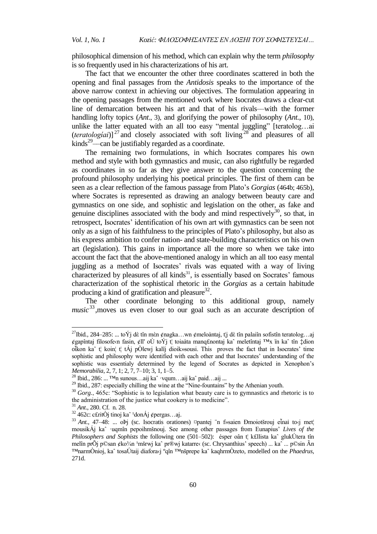philosophical dimension of his method, which can explain why the term *philosophy* is so frequently used in his characterizations of his art.

The fact that we encounter the other three coordinates scattered in both the opening and final passages from the *Antidosis* speaks to the importance of the above narrow context in achieving our objectives. The formulation appearing in the opening passages from the mentioned work where Isocrates draws a clear-cut line of demarcation between his art and that of his rivals––with the former handling lofty topics (*Ant*., 3), and glorifying the power of philosophy (*Ant.*, 10), unlike the latter equated with an all too easy "mental juggling" [teratolog…ai  $(teratological)<sup>27</sup>$  and closely associated with soft living<sup>28</sup> and pleasures of all kinds<sup>29</sup>—can be justifiably regarded as a coordinate.

The remaining two formulations, in which Isocrates compares his own method and style with both gymnastics and music, can also rightfully be regarded as coordinates in so far as they give answer to the question concerning the profound philosophy underlying his poetical principles. The first of them can be seen as a clear reflection of the famous passage from Plato's *Gorgias* (464b; 465b), where Socrates is represented as drawing an analogy between beauty care and gymnastics on one side, and sophistic and legislation on the other, as fake and genuine disciplines associated with the body and mind respectively<sup>30</sup>, so that, in retrospect, Isocrates' identification of his own art with gymnastics can be seen not only as a sign of his faithfulness to the principles of Plato's philosophy, but also as his express ambition to confer nation- and state-building characteristics on his own art (legislation). This gains in importance all the more so when we take into account the fact that the above-mentioned analogy in which an all too easy mental juggling as a method of Isocrates' rivals was equated with a way of living characterized by pleasures of all kinds $31$ , is essentially based on Socrates' famous characterization of the sophistical rhetoric in the *Gorgias* as a certain habitude producing a kind of gratification and pleasure $32$ .

The other coordinate belonging to this additional group, namely *music*<sup>33</sup> ,moves us even closer to our goal such as an accurate description of

<sup>&</sup>lt;sup>27</sup>Ibid., 284–285: ... toÝj dè tîn mèn ¢nagka...wn ¢meloàntaj, t¦j dè tîn palaiîn sofistîn teratolog...aj ¢gapîntaj filosofe‹n fasin, ¢ll' oÙ toÝj t¦ toiaàta manq£nontaj kaˆ meletîntaj ™x ïn kaˆ tîn ‡dion oἶkon kaˆ t¦ koin¦ t¦ tÁj pÒlewj kalîj dioik»sousi. This proves the fact that in Isocrates' time sophistic and philosophy were identified with each other and that Isocrates' understanding of the sophistic was essentialy determined by the legend of Socrates as depicted in Xenophon's *Memorabilia*, 2, 7, 1; 2, 7, 7–10; 3, 1, 1–5.

<sup>&</sup>lt;sup>28</sup> Ibid., 286: ... <sup>TM</sup>n sunous...aij ka^ ·vqum...aij ka^ paid...aij ...

<sup>&</sup>lt;sup>29</sup> Ibid., 287: especially chilling the wine at the "Nine-fountains" by the Athenian youth.

<sup>&</sup>lt;sup>30</sup> *Gorg.*, 465c: "Sophistic is to legislation what beauty care is to gymnastics and rhetoric is to the administration of the justice what cookery is to medicine".

<sup>31</sup> *Ant*., 280. Cf. n. 28.

 $32$  462c: c£ritÒj tinoj ka $\hat{ }$ <sup>1</sup>donÁj ¢pergas...aj.

<sup>33</sup> *Ant.*, 47–48: ... oÞj (sc. Isocratis orationes) ¤pantej ¨n f»saien Ðmoiotšrouj eἶnai to‹j met¦ mousikÁj kaˆ ·uqmîn pepoihmšnouj. See among other passages from Eunapius' *Lives of the Philosophers and Sophists* the following one (501–502): ésper oân t¦ k£llista kaˆ glukÚtera tîn melîn prÕj p©san ¢ko¾n <sup>1</sup>mšrwj ka^ pr®wj katarre‹ (sc. Chrysanthius' speech) ... ka^ ... p©sin Ãn ™narmÒnioj, kaˆ tosaÚtaij diafora‹j ºqîn ™nšprepe kaˆ kaqhrmÒzeto, modelled on the *Phaedrus*, 271d.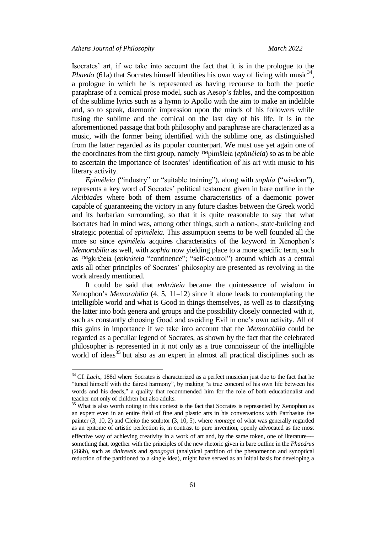Isocrates' art, if we take into account the fact that it is in the prologue to the *Phaedo* (61a) that Socrates himself identifies his own way of living with music<sup>34</sup>, a prologue in which he is represented as having recourse to both the poetic paraphrase of a comical prose model, such as Aesop's fables, and the composition of the sublime lyrics such as a hymn to Apollo with the aim to make an indelible and, so to speak, daemonic impression upon the minds of his followers while fusing the sublime and the comical on the last day of his life. It is in the aforementioned passage that both philosophy and paraphrase are characterized as a music, with the former being identified with the sublime one, as distinguished from the latter regarded as its popular counterpart. We must use yet again one of the coordinates from the first group, namely ™pimšleia (*epiméleia*) so as to be able to ascertain the importance of Isocrates' identification of his art with music to his literary activity.

*Epiméleia* ("industry" or "suitable training"), along with *sophía* ("wisdom"), represents a key word of Socrates' political testament given in bare outline in the *Alcibiades* where both of them assume characteristics of a daemonic power capable of guaranteeing the victory in any future clashes between the Greek world and its barbarian surrounding, so that it is quite reasonable to say that what Isocrates had in mind was, among other things, such a nation-, state-building and strategic potential of *epiméleia.* This assumption seems to be well founded all the more so since *epiméleia* acquires characteristics of the keyword in Xenophon's *Memorabilia* as well, with *sophía* now yielding place to a more specific term, such as ™gkr£teia (*enkráteia* "continence"; "self-control") around which as a central axis all other principles of Socrates' philosophy are presented as revolving in the work already mentioned.

It could be said that *enkráteia* became the quintessence of wisdom in Xenophon's *Memorabilia* (4, 5, 11–12) since it alone leads to contemplating the intelligible world and what is Good in things themselves, as well as to classifying the latter into both genera and groups and the possibility closely connected with it, such as constantly choosing Good and avoiding Evil in one's own activity. All of this gains in importance if we take into account that the *Memorabilia* could be regarded as a peculiar legend of Socrates, as shown by the fact that the celebrated philosopher is represented in it not only as a true connoisseur of the intelligible world of ideas<sup>35</sup> but also as an expert in almost all practical disciplines such as

<sup>&</sup>lt;sup>34</sup> Cf. *Lach.*, 188d where Socrates is characterized as a perfect musician just due to the fact that he "tuned himself with the fairest harmony", by making "a true concord of his own life between his words and his deeds," a quality that recommended him for the role of both educationalist and teacher not only of children but also adults.

<sup>&</sup>lt;sup>35</sup> What is also worth noting in this context is the fact that Socrates is represented by Xenophon as an expert even in an entire field of fine and plastic arts in his conversations with Parrhasius the painter (3, 10, 2) and Cleito the sculptor (3, 10, 5), where *montage* of what was generally regarded as an epitome of artistic perfection is, in contrast to pure invention, openly advocated as the most effective way of achieving creativity in a work of art and, by the same token, one of literature–– something that, together with the principles of the new rhetoric given in bare outline in the *Phaedrus* (266b), such as *diaireseis* and *synagogai* (analytical partition of the phenomenon and synoptical reduction of the partitioned to a single idea), might have served as an initial basis for developing a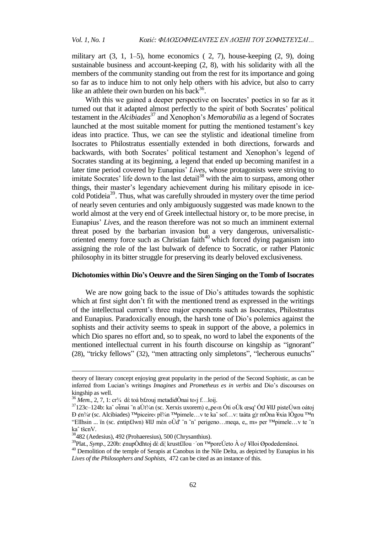military art  $(3, 1, 1-5)$ , home economics  $(2, 7)$ , house-keeping  $(2, 9)$ , doing sustainable business and account-keeping (2, 8), with his solidarity with all the members of the community standing out from the rest for its importance and going so far as to induce him to not only help others with his advice, but also to carry like an athlete their own burden on his back<sup>36</sup>.

With this we gained a deeper perspective on Isocrates' poetics in so far as it turned out that it adapted almost perfectly to the spirit of both Socrates' political testament in the *Alcibiades*<sup>37</sup> and Xenophon's *Memorabilia* as a legend of Socrates launched at the most suitable moment for putting the mentioned testament's key ideas into practice. Thus, we can see the stylistic and ideational timeline from Isocrates to Philostratus essentially extended in both directions, forwards and backwards, with both Socrates' political testament and Xenophon's legend of Socrates standing at its beginning, a legend that ended up becoming manifest in a later time period covered by Eunapius' *Lives*, whose protagonists were striving to imitate Socrates' life down to the last detail<sup>38</sup> with the aim to surpass, among other things, their master's legendary achievement during his military episode in icecold Potideia<sup>39</sup>. Thus, what was carefully shrouded in mystery over the time period of nearly seven centuries and only ambiguously suggested was made known to the world almost at the very end of Greek intellectual history or, to be more precise, in Eunapius' *Lives*, and the reason therefore was not so much an imminent external threat posed by the barbarian invasion but a very dangerous, universalisticoriented enemy force such as Christian faith $40$  which forced dying paganism into assigning the role of the last bulwark of defence to Socratic, or rather Platonic philosophy in its bitter struggle for preserving its dearly beloved exclusiveness.

## **Dichotomies within Dio's Oeuvre and the Siren Singing on the Tomb of Isocrates**

We are now going back to the issue of Dio's attitudes towards the sophistic which at first sight don't fit with the mentioned trend as expressed in the writings of the intellectual current's three major exponents such as Isocrates, Philostratus and Eunapius. Paradoxically enough, the harsh tone of Dio's polemics against the sophists and their activity seems to speak in support of the above, a polemics in which Dio spares no effort and, so to speak, no word to label the exponents of the mentioned intellectual current in his fourth discourse on kingship as "ignorant" (28), "tricky fellows" (32), "men attracting only simpletons", "lecherous eunuchs"

theory of literary concept enjoying great popularity in the period of the Second Sophistic, as can be inferred from Lucian's writings *Imagines* and *Prometheus es in verbis* and Dio's discourses on kingship as well.

 $36$  *Mem.*, 2, 7, 1: cr<sup>3</sup>/<sub>4</sub> dè toà b£rouj metadidÒnai to<sub>'j</sub> f...loij.

<sup>&</sup>lt;sup>37</sup>123c–124b: ka^ oἶmai ¨n aÙt¾n (sc. Xerxis uxorem) e, pe‹n Óti oÙk œsq' ÓtJ ¥llJ pisteÚwn oátoj  $\rm{D}$  ¢n¾r (sc. Alcibiades) ™piceire‹ pl¾n ™pimele…v te ka^ sof…v: taàta g¦r mÒna ¥xia lÒgou ™n "Ellhsin ... ïn (sc. ¢ntip£lwn) ¥llJ mèn oÙd' "n ~n^ perigeno...meqa, e,, m» per  $\mathbb{I}^{\text{M}}$ pimele...v te "n kaˆ tšcnV.

<sup>38</sup>482 (Aedesius), 492 (Prohaeresius), 500 (Chrysanthius).

<sup>&</sup>lt;sup>39</sup>Plat., *Symp.*, 220b: ¢nupÒdhtoj dè di¦ krust£llou · 'on <sup>™</sup>poreÚeto À of ¥lloi Øpodedemšnoi.

<sup>&</sup>lt;sup>40</sup> Demolition of the temple of Serapis at Canobus in the Nile Delta, as depicted by Eunapius in his *Lives of the Philosophers and Sophists*, 472 can be cited as an instance of this.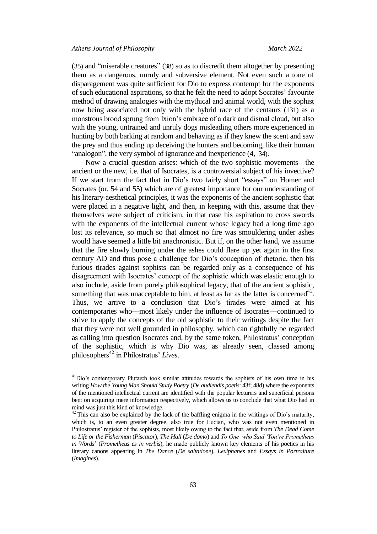(35) and "miserable creatures" (38) so as to discredit them altogether by presenting them as a dangerous, unruly and subversive element. Not even such a tone of disparagement was quite sufficient for Dio to express contempt for the exponents of such educational aspirations, so that he felt the need to adopt Socrates' favourite method of drawing analogies with the mythical and animal world, with the sophist now being associated not only with the hybrid race of the centaurs (131) as a monstrous brood sprung from Ixion's embrace of a dark and dismal cloud, but also with the young, untrained and unruly dogs misleading others more experienced in hunting by both barking at random and behaving as if they knew the scent and saw the prey and thus ending up deceiving the hunters and becoming, like their human "analogon", the very symbol of ignorance and inexperience  $(4, 34)$ .

Now a crucial question arises: which of the two sophistic movements––the ancient or the new, i.e. that of Isocrates, is a controversial subject of his invective? If we start from the fact that in Dio's two fairly short "essays" on Homer and Socrates (or. 54 and 55) which are of greatest importance for our understanding of his literary-aesthetical principles, it was the exponents of the ancient sophistic that were placed in a negative light, and then, in keeping with this, assume that they themselves were subject of criticism, in that case his aspiration to cross swords with the exponents of the intellectual current whose legacy had a long time ago lost its relevance, so much so that almost no fire was smouldering under ashes would have seemed a little bit anachronistic. But if, on the other hand, we assume that the fire slowly burning under the ashes could flare up yet again in the first century AD and thus pose a challenge for Dio's conception of rhetoric, then his furious tirades against sophists can be regarded only as a consequence of his disagreement with Isocrates' concept of the sophistic which was elastic enough to also include, aside from purely philosophical legacy, that of the ancient sophistic, something that was unacceptable to him, at least as far as the latter is concerned<sup>41</sup>. Thus, we arrive to a conclusion that Dio's tirades were aimed at his contemporaries who––most likely under the influence of Isocrates––continued to strive to apply the concepts of the old sophistic to their writings despite the fact that they were not well grounded in philosophy, which can rightfully be regarded as calling into question Isocrates and, by the same token, Philostratus' conception of the sophistic, which is why Dio was, as already seen, classed among philosophers<sup>42</sup> in Philostratus' *Lives*.

<sup>&</sup>lt;sup>41</sup>Dio's contemporary Plutarch took similar attitudes towards the sophists of his own time in his writing *How the Young Man Should Study Poetry* (*De audiendis poetis*: 43f; 48d) where the exponents of the mentioned intellectual current are identified with the popular lecturers and superficial persons bent on acquiring mere information respectively, which allows us to conclude that what Dio had in mind was just this kind of knowledge.

 $42$  This can also be explained by the lack of the baffling enigma in the writings of Dio's maturity, which is, to an even greater degree, also true for Lucian, who was not even mentioned in Philostratus' register of the sophists, most likely owing to the fact that, aside from *The Dead Come to Life or the Fisherman* (*Piscator*), *The Hall* (*De domo*) and *To One who Said 'You're Prometheus in Words*' (*Prometheus es in verbis*), he made publicly known key elements of his poetics in his literary canons appearing in *The Dance* (*De saltatione*), *Lexiphanes* and *Essays in Portraiture*  (*Imagines*)*.*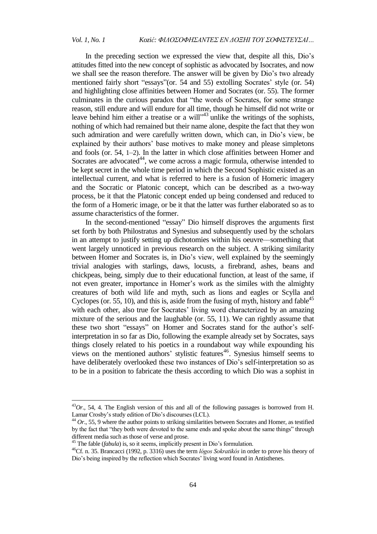$\overline{\phantom{a}}$ 

In the preceding section we expressed the view that, despite all this, Dio's attitudes fitted into the new concept of sophistic as advocated by Isocrates, and now we shall see the reason therefore. The answer will be given by Dio's two already mentioned fairly short "essays"(or. 54 and 55) extolling Socrates' style (or. 54) and highlighting close affinities between Homer and Socrates (or. 55). The former culminates in the curious paradox that "the words of Socrates, for some strange reason, still endure and will endure for all time, though he himself did not write or leave behind him either a treatise or a will  $1^{3}$  unlike the writings of the sophists, nothing of which had remained but their name alone, despite the fact that they won such admiration and were carefully written down, which can, in Dio's view, be explained by their authors' base motives to make money and please simpletons and fools (or. 54, 1–2). In the latter in which close affinities between Homer and Socrates are advocated<sup>44</sup>, we come across a magic formula, otherwise intended to be kept secret in the whole time period in which the Second Sophistic existed as an intellectual current, and what is referred to here is a fusion of Homeric imagery and the Socratic or Platonic concept, which can be described as a two-way process, be it that the Platonic concept ended up being condensed and reduced to the form of a Homeric image, or be it that the latter was further elaborated so as to assume characteristics of the former.

In the second-mentioned "essay" Dio himself disproves the arguments first set forth by both Philostratus and Synesius and subsequently used by the scholars in an attempt to justify setting up dichotomies within his oeuvre––something that went largely unnoticed in previous research on the subject. A striking similarity between Homer and Socrates is, in Dio's view, well explained by the seemingly trivial analogies with starlings, daws, locusts, a firebrand, ashes, beans and chickpeas, being, simply due to their educational function, at least of the same, if not even greater, importance in Homer's work as the similes with the almighty creatures of both wild life and myth, such as lions and eagles or Scylla and Cyclopes (or. 55, 10), and this is, aside from the fusing of myth, history and fable<sup>45</sup> with each other, also true for Socrates' living word characterized by an amazing mixture of the serious and the laughable (or. 55, 11). We can rightly assume that these two short "essays" on Homer and Socrates stand for the author's selfinterpretation in so far as Dio, following the example already set by Socrates, says things closely related to his poetics in a roundabout way while expounding his views on the mentioned authors' stylistic features<sup>46</sup>. Synesius himself seems to have deliberately overlooked these two instances of Dio's self-interpretation so as to be in a position to fabricate the thesis according to which Dio was a sophist in

<sup>43</sup>*Or*., 54, 4. The English version of this and all of the following passages is borrowed from H. Lamar Crosby's study edition of Dio's discourses (LCL).

<sup>&</sup>lt;sup>44</sup> Or., 55, 9 where the author points to striking similarities between Socrates and Homer, as testified by the fact that "they both were devoted to the same ends and spoke about the same things" through different media such as those of verse and prose.

<sup>&</sup>lt;sup>45</sup> The fable (*fabula*) is, so it seems, implicitly present in Dio's formulation.

<sup>46</sup>Cf. n. 35. Brancacci (1992, p. 3316) uses the term *lógos Sokratikós* in order to prove his theory of Dio's being inspired by the reflection which Socrates' living word found in Antisthenes.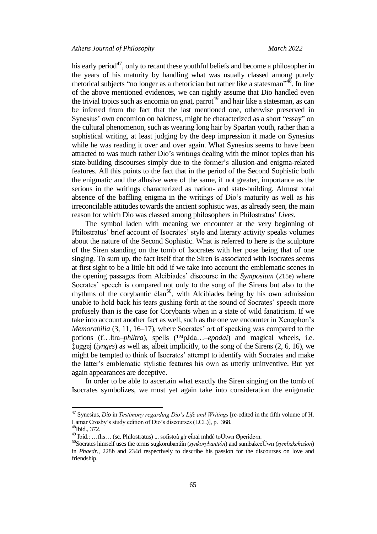his early period<sup>47</sup>, only to recant these youthful beliefs and become a philosopher in the years of his maturity by handling what was usually classed among purely rhetorical subjects "no longer as a rhetorician but rather like a statesman"<sup>48</sup>. In line of the above mentioned evidences, we can rightly assume that Dio handled even the trivial topics such as encomia on gnat, parrot<sup>49</sup> and hair like a statesman, as can be inferred from the fact that the last mentioned one, otherwise preserved in Synesius' own encomion on baldness, might be characterized as a short "essay" on the cultural phenomenon, such as wearing long hair by Spartan youth, rather than a sophistical writing, at least judging by the deep impression it made on Synesius while he was reading it over and over again. What Synesius seems to have been attracted to was much rather Dio's writings dealing with the minor topics than his state-building discourses simply due to the former's allusion-and enigma-related features. All this points to the fact that in the period of the Second Sophistic both the enigmatic and the allusive were of the same, if not greater, importance as the serious in the writings characterized as nation- and state-building. Almost total absence of the baffling enigma in the writings of Dio's maturity as well as his irreconcilable attitudes towards the ancient sophistic was, as already seen, the main reason for which Dio was classed among philosophers in Philostratus' *Lives*.

The symbol laden with meaning we encounter at the very beginning of Philostratus' brief account of Isocrates' style and literary activity speaks volumes about the nature of the Second Sophistic. What is referred to here is the sculpture of the Siren standing on the tomb of Isocrates with her pose being that of one singing. To sum up, the fact itself that the Siren is associated with Isocrates seems at first sight to be a little bit odd if we take into account the emblematic scenes in the opening passages from Alcibiades' discourse in the *Symposium* (215e) where Socrates' speech is compared not only to the song of the Sirens but also to the rhythms of the corybantic élan<sup>50</sup>, with Alcibiades being by his own admission unable to hold back his tears gushing forth at the sound of Socrates' speech more profusely than is the case for Corybants when in a state of wild fanaticism. If we take into account another fact as well, such as the one we encounter in Xenophon's *Memorabilia* (3, 11, 16–17)*,* where Socrates' art of speaking was compared to the potions (f…ltra–*phíltra*), spells (™pJda…–*epodaí*) and magical wheels, i.e. ‡uggej (*iynges*) as well as, albeit implicitly, to the song of the Sirens (2, 6, 16), we might be tempted to think of Isocrates' attempt to identify with Socrates and make the latter's emblematic stylistic features his own as utterly uninventive. But yet again appearances are deceptive.

In order to be able to ascertain what exactly the Siren singing on the tomb of Isocrates symbolizes, we must yet again take into consideration the enigmatic

<sup>47</sup> Synesius, *Dio* in *Testimony regarding Dio's Life and Writings* [re-edited in the fifth volume of H. Lamar Crosby's study edition of Dio's discourses (LCL)], p. 368.

<sup>48</sup>Ibid., 372.

<sup>&</sup>lt;sup>49</sup> Ibid.: …fhs… (sc. Philostratus) ... sofistoà g|r eἶnai mhdè toÚtwn Øperide‹n.

<sup>50</sup>Socrates himself uses the terms sugkorubantiîn (*synkorybantión*) and sumbakceÚwn (*symbakcheúon*) in *Phaedr.*, 228b and 234d respectively to describe his passion for the discourses on love and friendship.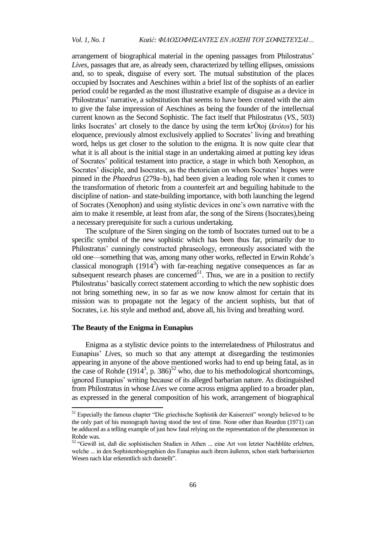arrangement of biographical material in the opening passages from Philostratus' *Lives*, passages that are, as already seen, characterized by telling ellipses, omissions and, so to speak, disguise of every sort. The mutual substitution of the places occupied by Isocrates and Aeschines within a brief list of the sophists of an earlier period could be regarded as the most illustrative example of disguise as a device in Philostratus' narrative, a substitution that seems to have been created with the aim to give the false impression of Aeschines as being the founder of the intellectual current known as the Second Sophistic. The fact itself that Philostratus (*VS.*, 503) links Isocrates' art closely to the dance by using the term krÒtoj (*krótos*) for his eloquence, previously almost exclusively applied to Socrates' living and breathing word, helps us get closer to the solution to the enigma. It is now quite clear that what it is all about is the initial stage in an undertaking aimed at putting key ideas of Socrates' political testament into practice, a stage in which both Xenophon, as Socrates' disciple, and Isocrates, as the rhetorician on whom Socrates' hopes were pinned in the *Phaedrus* (279a–b), had been given a leading role when it comes to the transformation of rhetoric from a counterfeit art and beguiling habitude to the discipline of nation- and state-building importance, with both launching the legend of Socrates (Xenophon) and using stylistic devices in one's own narrative with the aim to make it resemble, at least from afar, the song of the Sirens (Isocrates),being a necessary prerequisite for such a curious undertaking.

The sculpture of the Siren singing on the tomb of Isocrates turned out to be a specific symbol of the new sophistic which has been thus far, primarily due to Philostratus' cunningly constructed phraseology, erroneously associated with the old one––something that was, among many other works, reflected in Erwin Rohde's classical monograph  $(1914^3)$  with far-reaching negative consequences as far as subsequent research phases are concerned<sup>51</sup>. Thus, we are in a position to rectify Philostratus' basically correct statement according to which the new sophistic does not bring something new, in so far as we now know almost for certain that its mission was to propagate not the legacy of the ancient sophists, but that of Socrates, i.e. his style and method and, above all, his living and breathing word.

#### **The Beauty of the Enigma in Eunapius**

 $\overline{a}$ 

Enigma as a stylistic device points to the interrelatedness of Philostratus and Eunapius' *Lives*, so much so that any attempt at disregarding the testimonies appearing in anyone of the above mentioned works had to end up being fatal, as in the case of Rohde  $(1914^3, p. 386)^{52}$  who, due to his methodological shortcomings, ignored Eunapius' writing because of its alleged barbarian nature. As distinguished from Philostratus in whose *Lives* we come across enigma applied to a broader plan, as expressed in the general composition of his work, arrangement of biographical

<sup>&</sup>lt;sup>51</sup> Especially the famous chapter "Die griechische Sophistik der Kaiserzeit" wrongly believed to be the only part of his monograph having stood the test of time. None other than Reardon (1971) can be adduced as a telling example of just how fatal relying on the representation of the phenomenon in Rohde was.

<sup>&</sup>lt;sup>52</sup> "Gewiß ist, daß die sophistischen Studien in Athen ... eine Art von letzter Nachblüte erlebten, welche ... in den Sophistenbiographien des Eunapius auch ihrem äußeren, schon stark barbarisierten Wesen nach klar erkenntlich sich darstellt".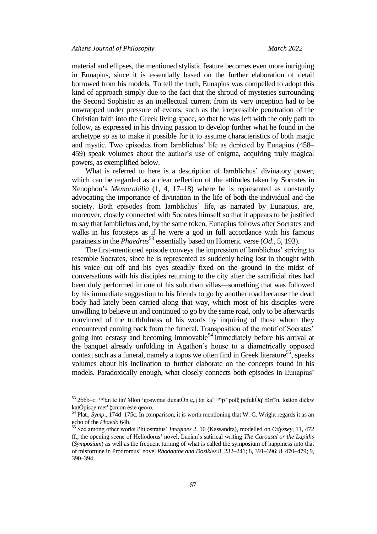material and ellipses, the mentioned stylistic feature becomes even more intriguing in Eunapius, since it is essentially based on the further elaboration of detail borrowed from his models. To tell the truth, Eunapius was compelled to adopt this kind of approach simply due to the fact that the shroud of mysteries surrounding the Second Sophistic as an intellectual current from its very inception had to be unwrapped under pressure of events, such as the irrepressible penetration of the Christian faith into the Greek living space, so that he was left with the only path to follow, as expressed in his driving passion to develop further what he found in the archetype so as to make it possible for it to assume characteristics of both magic and mystic. Two episodes from Iamblichus' life as depicted by Eunapius (458– 459) speak volumes about the author's use of enigma, acquiring truly magical powers, as exemplified below.

What is referred to here is a description of Iamblichus' divinatory power, which can be regarded as a clear reflection of the attitudes taken by Socrates in Xenophon's *Memorabilia* (1, 4, 17–18) where he is represented as constantly advocating the importance of divination in the life of both the individual and the society. Both episodes from Iamblichus' life, as narrated by Eunapius, are, moreover, closely connected with Socrates himself so that it appears to be justified to say that Iamblichus and, by the same token, Eunapius follows after Socrates and walks in his footsteps as if he were a god in full accordance with his famous parainesis in the *Phaedrus*<sup>53</sup> essentially based on Homeric verse (*Od.*, 5, 193).

The first-mentioned episode conveys the impression of Iamblichus' striving to resemble Socrates, since he is represented as suddenly being lost in thought with his voice cut off and his eyes steadily fixed on the ground in the midst of conversations with his disciples returning to the city after the sacrificial rites had been duly performed in one of his suburban villas––something that was followed by his immediate suggestion to his friends to go by another road because the dead body had lately been carried along that way, which most of his disciples were unwilling to believe in and continued to go by the same road, only to be afterwards convinced of the truthfulness of his words by inquiring of those whom they encountered coming back from the funeral. Transposition of the motif of Socrates' going into ecstasy and becoming immovable<sup>54</sup> immediately before his arrival at the banquet already unfolding in Agathon's house to a diametrically opposed context such as a funeral, namely a topos we often find in Greek literature<sup>55</sup>, speaks volumes about his inclination to further elaborate on the concepts found in his models. Paradoxically enough, what closely connects both episodes in Eunapius'

<sup>&</sup>lt;sup>53</sup> 266b–c: ™£n te tin' ¥llon <sup>1</sup>g»swmai dunatÕn e, j ἓn ka^ ™p^ poll¦ pefukÒq' Đr©n, toàton dièkw katÒpisqe met' ‡cnion éste qeo‹o.

<sup>54</sup> Plat., *Symp*., 174d–175c. In comparison, it is worth mentioning that W. C. Wright regards it as an echo of the *Phaedo* 64b.

<sup>55</sup> See among other works Philostratus' *Imagines* 2, 10 (Kassandra), modelled on *Odyssey*, 11, 472 ff., the opening scene of Heliodorus' novel, Lucian's satirical writing *The Carousal or the Lapiths* (*Symposium*) as well as the frequent turning of what is called the symposium of happiness into that of misfortune in Prodromus' novel *Rhodanthe and Dosikles* 8, 232–241; 8, 391–396; 8, 470–479; 9, 390–394.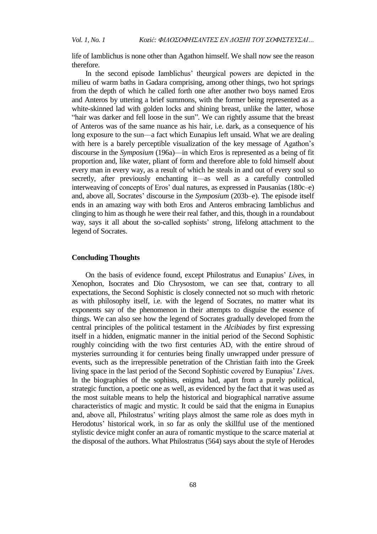life of Iamblichus is none other than Agathon himself. We shall now see the reason therefore.

In the second episode Iamblichus' theurgical powers are depicted in the milieu of warm baths in Gadara comprising, among other things, two hot springs from the depth of which he called forth one after another two boys named Eros and Anteros by uttering a brief summons, with the former being represented as a white-skinned lad with golden locks and shining breast, unlike the latter, whose "hair was darker and fell loose in the sun". We can rightly assume that the breast of Anteros was of the same nuance as his hair, i.e. dark, as a consequence of his long exposure to the sun—a fact which Eunapius left unsaid. What we are dealing with here is a barely perceptible visualization of the key message of Agathon's discourse in the *Symposium* (196a)––in which Eros is represented as a being of fit proportion and, like water, pliant of form and therefore able to fold himself about every man in every way, as a result of which he steals in and out of every soul so secretly, after previously enchanting it—as well as a carefully controlled interweaving of concepts of Eros' dual natures, as expressed in Pausanias (180c–e) and, above all, Socrates' discourse in the *Symposium* (203b–e). The episode itself ends in an amazing way with both Eros and Anteros embracing Iamblichus and clinging to him as though he were their real father, and this, though in a roundabout way, says it all about the so-called sophists' strong, lifelong attachment to the legend of Socrates.

#### **Concluding Thoughts**

On the basis of evidence found, except Philostratus and Eunapius' *Lives*, in Xenophon, Isocrates and Dio Chrysostom, we can see that, contrary to all expectations, the Second Sophistic is closely connected not so much with rhetoric as with philosophy itself, i.e. with the legend of Socrates, no matter what its exponents say of the phenomenon in their attempts to disguise the essence of things. We can also see how the legend of Socrates gradually developed from the central principles of the political testament in the *Alcibiades* by first expressing itself in a hidden, enigmatic manner in the initial period of the Second Sophistic roughly coinciding with the two first centuries AD, with the entire shroud of mysteries surrounding it for centuries being finally unwrapped under pressure of events, such as the irrepressible penetration of the Christian faith into the Greek living space in the last period of the Second Sophistic covered by Eunapius' *Lives*. In the biographies of the sophists, enigma had, apart from a purely political, strategic function, a poetic one as well, as evidenced by the fact that it was used as the most suitable means to help the historical and biographical narrative assume characteristics of magic and mystic. It could be said that the enigma in Eunapius and, above all, Philostratus' writing plays almost the same role as does myth in Herodotus' historical work, in so far as only the skillful use of the mentioned stylistic device might confer an aura of romantic mystique to the scarce material at the disposal of the authors. What Philostratus (564) says about the style of Herodes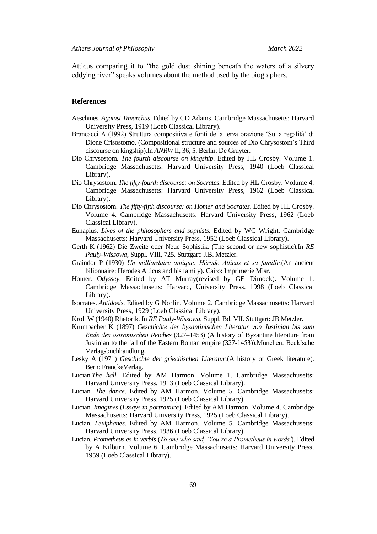Atticus comparing it to "the gold dust shining beneath the waters of a silvery eddying river" speaks volumes about the method used by the biographers.

## **References**

- Aeschines. *Against Timarchus*. Edited by CD Adams. Cambridge Massachusetts: Harvard University Press, 1919 (Loeb Classical Library).
- Brancacci A (1992) Struttura compositiva e fonti della terza orazione 'Sulla regalità' di Dione Crisostomo. (Compositional structure and sources of Dio Chrysostom's Third discourse on kingship).In *ANRW* II, 36, 5. Berlin: De Gruyter.
- Dio Chrysostom*. The fourth discourse on kingship*. Edited by HL Crosby. Volume 1. Cambridge Massachusetts: Harvard University Press, 1940 (Loeb Classical Library).
- Dio Chrysostom. *The fifty-fourth discourse: on Socrates*. Edited by HL Crosby. Volume 4. Cambridge Massachusetts: Harvard University Press, 1962 (Loeb Classical Library).
- Dio Chrysostom. *The fifty-fifth discourse: on Homer and Socrates*. Edited by HL Crosby. Volume 4. Cambridge Massachusetts: Harvard University Press, 1962 (Loeb Classical Library).
- Eunapius. *Lives of the philosophers and sophists.* Edited by WC Wright. Cambridge Massachusetts: Harvard University Press, 1952 (Loeb Classical Library).
- Gerth K (1962) Die Zweite oder Neue Sophistik. (The second or new sophistic).In *RE Pauly-Wissowa*, Suppl. VIII, 725. Stuttgart: J.B. Metzler.
- Graindor P (1930) *Un milliardaire antique: Hérode Atticus et sa famille.*(An ancient bilionnaire: Herodes Atticus and his family). Cairo: Imprimerie Misr.
- Homer. O*dyssey*. Edited by AT Murray(revised by GE Dimock). Volume 1. Cambridge Massachusetts: Harvard, University Press. 1998 (Loeb Classical Library).
- Isocrates. *Antidosis.* Edited by G Norlin. Volume 2. Cambridge Massachusetts: Harvard University Press, 1929 (Loeb Classical Library).
- Kroll W (1940) Rhetorik. In *RE Pauly-Wissowa*, Suppl. Bd. VII. Stuttgart: JB Metzler.
- Krumbacher K (1897) *Geschichte der byzantinischen Literatur von Justinian bis zum Ende des oströmischen Reiches* (327–1453) (A history of Byzantine literature from Justinian to the fall of the Eastern Roman empire (327-1453)).München: Beck'sche Verlagsbuchhandlung.
- Lesky A (1971) *Geschichte der griechischen Literatur.*(A history of Greek literature). Bern: FranckeVerlag.
- Lucian.*The hall.* Edited by AM Harmon. Volume 1. Cambridge Massachusetts: Harvard University Press, 1913 (Loeb Classical Library).
- Lucian. *The dance*. Edited by AM Harmon. Volume 5. Cambridge Massachusetts: Harvard University Press, 1925 (Loeb Classical Library).
- Lucian. *Imagines* (*Essays in portraiture*)*.* Edited by AM Harmon. Volume 4. Cambridge Massachusetts: Harvard University Press, 1925 (Loeb Classical Library).
- Lucian. *Lexiphanes*. Edited by AM Harmon. Volume 5. Cambridge Massachusetts: Harvard University Press, 1936 (Loeb Classical Library).
- Lucian. *Prometheus es in verbis* (*To one who said, 'You're a Prometheus in words'*)*.* Edited by A Kilburn. Volume 6. Cambridge Massachusetts: Harvard University Press, 1959 (Loeb Classical Library).